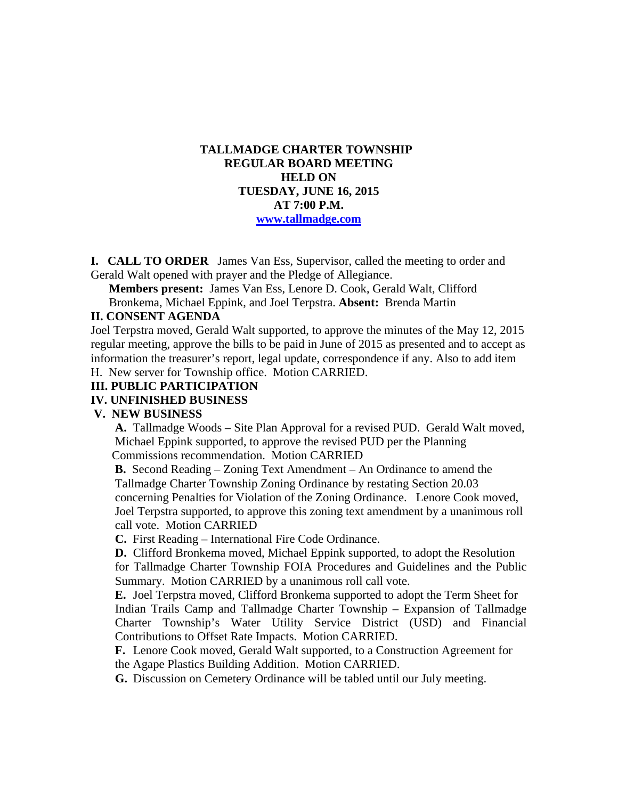## **TALLMADGE CHARTER TOWNSHIP REGULAR BOARD MEETING HELD ON TUESDAY, JUNE 16, 2015 AT 7:00 P.M. www.tallmadge.com**

**I. CALL TO ORDER** James Van Ess, Supervisor, called the meeting to order and Gerald Walt opened with prayer and the Pledge of Allegiance.

**Members present:** James Van Ess, Lenore D. Cook, Gerald Walt, Clifford Bronkema, Michael Eppink, and Joel Terpstra. **Absent:** Brenda Martin

#### **II. CONSENT AGENDA**

Joel Terpstra moved, Gerald Walt supported, to approve the minutes of the May 12, 2015 regular meeting, approve the bills to be paid in June of 2015 as presented and to accept as information the treasurer's report, legal update, correspondence if any. Also to add item

H. New server for Township office. Motion CARRIED.

#### **III. PUBLIC PARTICIPATION**

#### **IV. UNFINISHED BUSINESS**

#### **V. NEW BUSINESS**

 **A.** Tallmadge Woods – Site Plan Approval for a revised PUD. Gerald Walt moved, Michael Eppink supported, to approve the revised PUD per the Planning Commissions recommendation. Motion CARRIED

 **B.** Second Reading – Zoning Text Amendment – An Ordinance to amend the Tallmadge Charter Township Zoning Ordinance by restating Section 20.03 concerning Penalties for Violation of the Zoning Ordinance. Lenore Cook moved, Joel Terpstra supported, to approve this zoning text amendment by a unanimous roll call vote. Motion CARRIED

**C.** First Reading – International Fire Code Ordinance.

**D.** Clifford Bronkema moved, Michael Eppink supported, to adopt the Resolution for Tallmadge Charter Township FOIA Procedures and Guidelines and the Public Summary. Motion CARRIED by a unanimous roll call vote.

**E.** Joel Terpstra moved, Clifford Bronkema supported to adopt the Term Sheet for Indian Trails Camp and Tallmadge Charter Township – Expansion of Tallmadge Charter Township's Water Utility Service District (USD) and Financial Contributions to Offset Rate Impacts. Motion CARRIED.

**F.** Lenore Cook moved, Gerald Walt supported, to a Construction Agreement for the Agape Plastics Building Addition. Motion CARRIED.

**G.** Discussion on Cemetery Ordinance will be tabled until our July meeting.